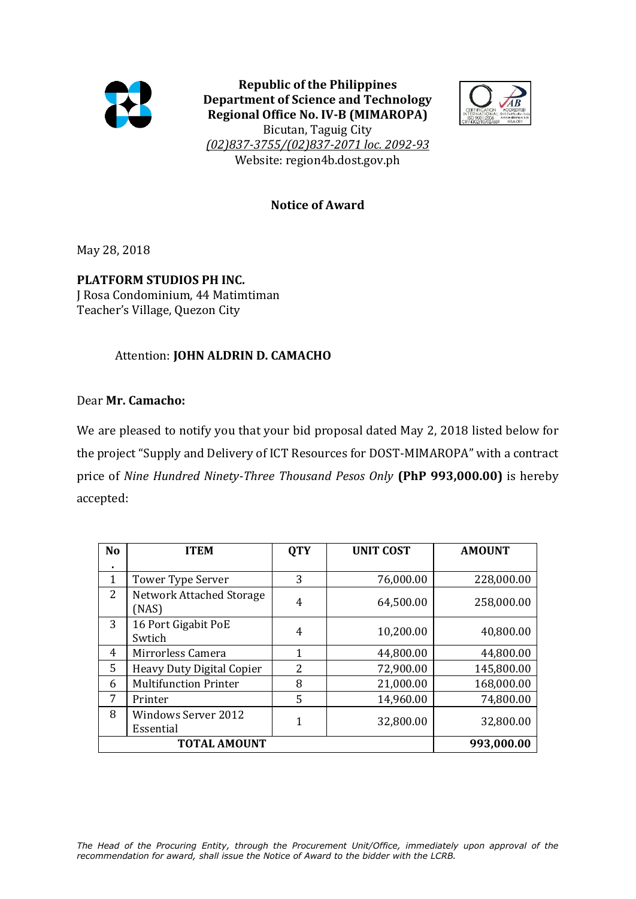

**Republic of the Philippines Department of Science and Technology Regional Office No. IV-B (MIMAROPA)**



Bicutan, Taguig City *(02)837-3755/(02)837-2071 loc. 2092-93* Website: region4b.dost.gov.ph

## **Notice of Award**

May 28, 2018

**PLATFORM STUDIOS PH INC.**

J Rosa Condominium, 44 Matimtiman Teacher's Village, Quezon City

## Attention: **JOHN ALDRIN D. CAMACHO**

## Dear **Mr. Camacho:**

We are pleased to notify you that your bid proposal dated May 2, 2018 listed below for the project "Supply and Delivery of ICT Resources for DOST-MIMAROPA" with a contract price of *Nine Hundred Ninety-Three Thousand Pesos Only* **(PhP 993,000.00)** is hereby accepted:

| N <sub>o</sub>      | <b>ITEM</b>                              | <b>QTY</b> | <b>UNIT COST</b> | <b>AMOUNT</b> |
|---------------------|------------------------------------------|------------|------------------|---------------|
| $\blacksquare$      |                                          |            |                  |               |
| 1                   | Tower Type Server                        | 3          | 76,000.00        | 228,000.00    |
| $\overline{2}$      | <b>Network Attached Storage</b><br>(NAS) | 4          | 64,500.00        | 258,000.00    |
| 3                   | 16 Port Gigabit PoE<br>Swtich            | 4          | 10,200.00        | 40,800.00     |
| 4                   | Mirrorless Camera                        | 1          | 44,800.00        | 44,800.00     |
| 5                   | <b>Heavy Duty Digital Copier</b>         | 2          | 72,900.00        | 145,800.00    |
| 6                   | <b>Multifunction Printer</b>             | 8          | 21,000.00        | 168,000.00    |
| 7                   | Printer                                  | 5          | 14,960.00        | 74,800.00     |
| 8                   | <b>Windows Server 2012</b><br>Essential  | 1          | 32,800.00        | 32,800.00     |
| <b>TOTAL AMOUNT</b> |                                          |            |                  | 993,000.00    |